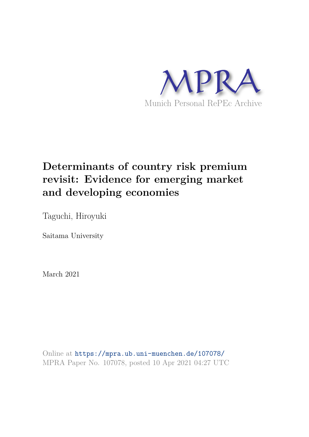

# **Determinants of country risk premium revisit: Evidence for emerging market and developing economies**

Taguchi, Hiroyuki

Saitama University

March 2021

Online at https://mpra.ub.uni-muenchen.de/107078/ MPRA Paper No. 107078, posted 10 Apr 2021 04:27 UTC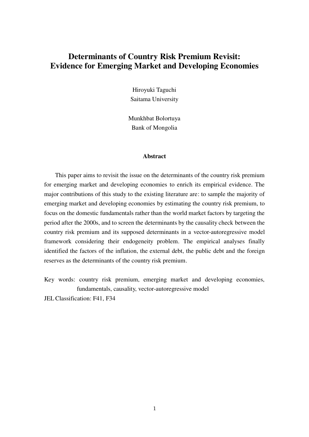# **Determinants of Country Risk Premium Revisit: Evidence for Emerging Market and Developing Economies**

Hiroyuki Taguchi Saitama University

Munkhbat Bolortuya Bank of Mongolia

### **Abstract**

This paper aims to revisit the issue on the determinants of the country risk premium for emerging market and developing economies to enrich its empirical evidence. The major contributions of this study to the existing literature are: to sample the majority of emerging market and developing economies by estimating the country risk premium, to focus on the domestic fundamentals rather than the world market factors by targeting the period after the 2000s, and to screen the determinants by the causality check between the country risk premium and its supposed determinants in a vector-autoregressive model framework considering their endogeneity problem. The empirical analyses finally identified the factors of the inflation, the external debt, the public debt and the foreign reserves as the determinants of the country risk premium.

Key words: country risk premium, emerging market and developing economies, fundamentals, causality, vector-autoregressive model

JEL Classification: F41, F34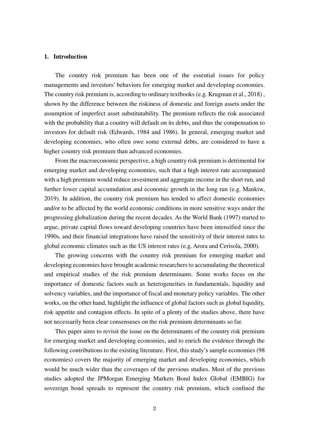#### **1. Introduction**

The country risk premium has been one of the essential issues for policy managements and investors' behaviors for emerging market and developing economies. The country risk premium is, according to ordinary textbooks (e.g. Krugman et al., 2018) , shown by the difference between the riskiness of domestic and foreign assets under the assumption of imperfect asset substitutability. The premium reflects the risk associated with the probability that a country will default on its debts, and thus the compensation to investors for default risk (Edwards, 1984 and 1986). In general, emerging market and developing economies, who often owe some external debts, are considered to have a higher country risk premium than advanced economies.

From the macroeconomic perspective, a high country risk premium is detrimental for emerging market and developing economies, such that a high interest rate accompanied with a high premium would reduce investment and aggregate income in the short run, and further lower capital accumulation and economic growth in the long run (e.g. Mankiw, 2019). In addition, the country risk premium has tended to affect domestic economies and/or to be affected by the world economic conditions in more sensitive ways under the progressing globalization during the recent decades. As the World Bank (1997) started to argue, private capital flows toward developing countries have been intensified since the 1990s, and their financial integrations have raised the sensitivity of their interest rates to global economic climates such as the US interest rates (e.g. Arora and Cerisola, 2000).

The growing concerns with the country risk premium for emerging market and developing economies have brought academic researchers to accumulating the theoretical and empirical studies of the risk premium determinants. Some works focus on the importance of domestic factors such as heterogeneities in fundamentals, liquidity and solvency variables, and the importance of fiscal and monetary policy variables. The other works, on the other hand, highlight the influence of global factors such as global liquidity, risk appetite and contagion effects. In spite of a plenty of the studies above, there have not necessarily been clear consensuses on the risk premium determinants so far.

This paper aims to revisit the issue on the determinants of the country risk premium for emerging market and developing economies, and to enrich the evidence through the following contributions to the existing literature. First, this study's sample economies (98 economies) covers the majority of emerging market and developing economies, which would be much wider than the coverages of the previous studies. Most of the previous studies adopted the JPMorgan Emerging Markets Bond Index Global (EMBIG) for sovereign bond spreads to represent the country risk premium, which confined the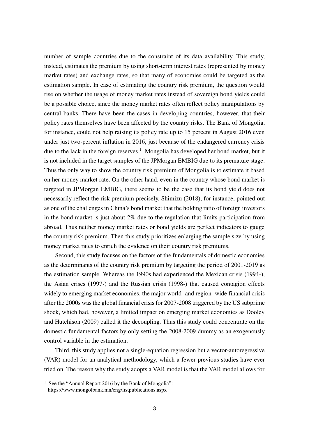number of sample countries due to the constraint of its data availability. This study, instead, estimates the premium by using short-term interest rates (represented by money market rates) and exchange rates, so that many of economies could be targeted as the estimation sample. In case of estimating the country risk premium, the question would rise on whether the usage of money market rates instead of sovereign bond yields could be a possible choice, since the money market rates often reflect policy manipulations by central banks. There have been the cases in developing countries, however, that their policy rates themselves have been affected by the country risks. The Bank of Mongolia, for instance, could not help raising its policy rate up to 15 percent in August 2016 even under just two-percent inflation in 2016, just because of the endangered currency crisis due to the lack in the foreign reserves.<sup>1</sup> Mongolia has developed her bond market, but it is not included in the target samples of the JPMorgan EMBIG due to its premature stage. Thus the only way to show the country risk premium of Mongolia is to estimate it based on her money market rate. On the other hand, even in the country whose bond market is targeted in JPMorgan EMBIG, there seems to be the case that its bond yield does not necessarily reflect the risk premium precisely. Shimizu (2018), for instance, pointed out as one of the challenges in China's bond market that the holding ratio of foreign investors in the bond market is just about 2% due to the regulation that limits participation from abroad. Thus neither money market rates or bond yields are perfect indicators to gauge the country risk premium. Then this study prioritizes enlarging the sample size by using money market rates to enrich the evidence on their country risk premiums.

Second, this study focuses on the factors of the fundamentals of domestic economies as the determinants of the country risk premium by targeting the period of 2001-2019 as the estimation sample. Whereas the 1990s had experienced the Mexican crisis (1994-), the Asian crises (1997-) and the Russian crisis (1998-) that caused contagion effects widely to emerging market economies, the major world- and region- wide financial crisis after the 2000s was the global financial crisis for 2007-2008 triggered by the US subprime shock, which had, however, a limited impact on emerging market economies as Dooley and Hutchison (2009) called it the decoupling. Thus this study could concentrate on the domestic fundamental factors by only setting the 2008-2009 dummy as an exogenously control variable in the estimation.

Third, this study applies not a single-equation regression but a vector-autoregressive (VAR) model for an analytical methodology, which a fewer previous studies have ever tried on. The reason why the study adopts a VAR model is that the VAR model allows for

<sup>&</sup>lt;sup>1</sup> See the "Annual Report 2016 by the Bank of Mongolia":

https://www.mongolbank.mn/eng/listpublications.aspx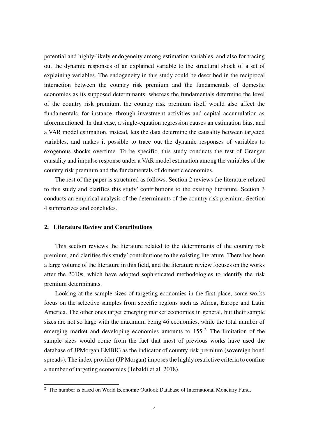potential and highly-likely endogeneity among estimation variables, and also for tracing out the dynamic responses of an explained variable to the structural shock of a set of explaining variables. The endogeneity in this study could be described in the reciprocal interaction between the country risk premium and the fundamentals of domestic economies as its supposed determinants: whereas the fundamentals determine the level of the country risk premium, the country risk premium itself would also affect the fundamentals, for instance, through investment activities and capital accumulation as aforementioned. In that case, a single-equation regression causes an estimation bias, and a VAR model estimation, instead, lets the data determine the causality between targeted variables, and makes it possible to trace out the dynamic responses of variables to exogenous shocks overtime. To be specific, this study conducts the test of Granger causality and impulse response under a VAR model estimation among the variables of the country risk premium and the fundamentals of domestic economies.

The rest of the paper is structured as follows. Section 2 reviews the literature related to this study and clarifies this study' contributions to the existing literature. Section 3 conducts an empirical analysis of the determinants of the country risk premium. Section 4 summarizes and concludes.

### **2. Literature Review and Contributions**

This section reviews the literature related to the determinants of the country risk premium, and clarifies this study' contributions to the existing literature. There has been a large volume of the literature in this field, and the literature review focuses on the works after the 2010s, which have adopted sophisticated methodologies to identify the risk premium determinants.

Looking at the sample sizes of targeting economies in the first place, some works focus on the selective samples from specific regions such as Africa, Europe and Latin America. The other ones target emerging market economies in general, but their sample sizes are not so large with the maximum being 46 economies, while the total number of emerging market and developing economies amounts to  $155<sup>2</sup>$ . The limitation of the sample sizes would come from the fact that most of previous works have used the database of JPMorgan EMBIG as the indicator of country risk premium (sovereign bond spreads). The index provider (JP Morgan) imposes the highly restrictive criteria to confine a number of targeting economies (Tebaldi et al. 2018).

<sup>&</sup>lt;sup>2</sup> The number is based on World Economic Outlook Database of International Monetary Fund.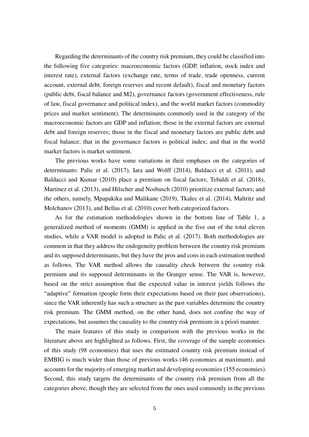Regarding the determinants of the country risk premium, they could be classified into the following five categories: macroeconomic factors (GDP, inflation, stock index and interest rate), external factors (exchange rate, terms of trade, trade openness, current account, external debt, foreign reserves and recent default), fiscal and monetary factors (public debt, fiscal balance and M2), governance factors (government effectiveness, rule of law, fiscal governance and political index), and the world market factors (commodity prices and market sentiment). The determinants commonly used in the category of the macroeconomic factors are GDP and inflation; those in the external factors are external debt and foreign reserves; those in the fiscal and monetary factors are public debt and fiscal balance; that in the governance factors is political index; and that in the world market factors is market sentiment.

The previous works have some variations in their emphases on the categories of determinants: Palic et al. (2017), Iara and Wolff (2014), Baldacci et al. (2011), and Baldacci and Kumar (2010) place a premium on fiscal factors; Tebaldi et al. (2018), Martinez et al. (2013), and Hilscher and Nosbusch (2010) prioritize external factors; and the others, namely, Mpapakika and Malikane (2019), Tkalec et al. (2014), Maltritz and Molchanov (2013), and Bellas et al. (2010) cover both categorized factors.

As for the estimation methodologies shown in the bottom line of Table 1, a generalized method of moments (GMM) is applied in the five out of the total eleven studies, while a VAR model is adopted in Palic et al. (2017). Both methodologies are common in that they address the endogeneity problem between the country risk premium and its supposed determinants, but they have the pros and cons in each estimation method as follows. The VAR method allows the causality check between the country risk premium and its supposed determinants in the Granger sense. The VAR is, however, based on the strict assumption that the expected value in interest yields follows the "adaptive" formation (people form their expectations based on their past observations), since the VAR inherently has such a structure as the past variables determine the country risk premium. The GMM method, on the other hand, does not confine the way of expectations, but assumes the causality to the country risk premium in a priori manner.

The main features of this study in comparison with the previous works in the literature above are highlighted as follows. First, the coverage of the sample economies of this study (98 economies) that uses the estimated country risk premium instead of EMBIG is much wider than those of previous works (46 economies at maximum), and accounts for the majority of emerging market and developing economies (155 economies). Second, this study targets the determinants of the country risk premium from all the categories above, though they are selected from the ones used commonly in the previous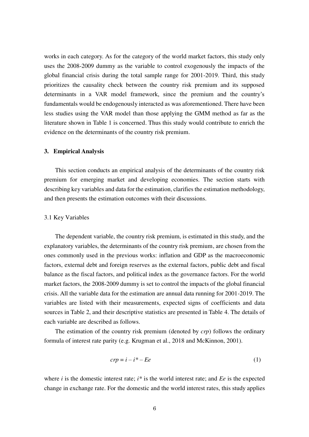works in each category. As for the category of the world market factors, this study only uses the 2008-2009 dummy as the variable to control exogenously the impacts of the global financial crisis during the total sample range for 2001-2019. Third, this study prioritizes the causality check between the country risk premium and its supposed determinants in a VAR model framework, since the premium and the country's fundamentals would be endogenously interacted as was aforementioned. There have been less studies using the VAR model than those applying the GMM method as far as the literature shown in Table 1 is concerned. Thus this study would contribute to enrich the evidence on the determinants of the country risk premium.

### **3. Empirical Analysis**

This section conducts an empirical analysis of the determinants of the country risk premium for emerging market and developing economies. The section starts with describing key variables and data for the estimation, clarifies the estimation methodology, and then presents the estimation outcomes with their discussions.

### 3.1 Key Variables

The dependent variable, the country risk premium, is estimated in this study, and the explanatory variables, the determinants of the country risk premium, are chosen from the ones commonly used in the previous works: inflation and GDP as the macroeconomic factors, external debt and foreign reserves as the external factors, public debt and fiscal balance as the fiscal factors, and political index as the governance factors. For the world market factors, the 2008-2009 dummy is set to control the impacts of the global financial crisis. All the variable data for the estimation are annual data running for 2001-2019. The variables are listed with their measurements, expected signs of coefficients and data sources in Table 2, and their descriptive statistics are presented in Table 4. The details of each variable are described as follows.

The estimation of the country risk premium (denoted by *crp*) follows the ordinary formula of interest rate parity (e.g. Krugman et al., 2018 and McKinnon, 2001).

$$
crp = i - i^* - Ee \tag{1}
$$

where *i* is the domestic interest rate; *i\** is the world interest rate; and *Ee* is the expected change in exchange rate. For the domestic and the world interest rates, this study applies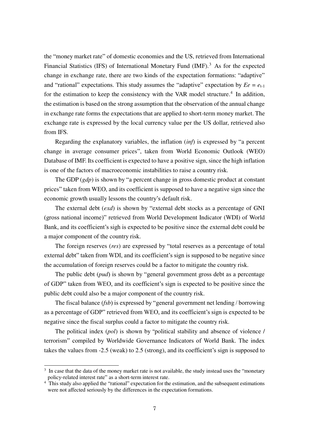the "money market rate" of domestic economies and the US, retrieved from International Financial Statistics (IFS) of International Monetary Fund  $(MF)$ .<sup>3</sup> As for the expected change in exchange rate, there are two kinds of the expectation formations: "adaptive" and "rational" expectations. This study assumes the "adaptive" expectation by  $E_e = e_{t-1}$ for the estimation to keep the consistency with the VAR model structure.<sup>4</sup> In addition, the estimation is based on the strong assumption that the observation of the annual change in exchange rate forms the expectations that are applied to short-term money market. The exchange rate is expressed by the local currency value per the US dollar, retrieved also from IFS.

Regarding the explanatory variables, the inflation (*inf*) is expressed by "a percent change in average consumer prices", taken from World Economic Outlook (WEO) Database of IMF. Its coefficient is expected to have a positive sign, since the high inflation is one of the factors of macroeconomic instabilities to raise a country risk.

The GDP (*gdp*) is shown by "a percent change in gross domestic product at constant prices" taken from WEO, and its coefficient is supposed to have a negative sign since the economic growth usually lessons the country's default risk.

The external debt (*exd*) is shown by "external debt stocks as a percentage of GNI (gross national income)" retrieved from World Development Indicator (WDI) of World Bank, and its coefficient's sigh is expected to be positive since the external debt could be a major component of the country risk.

The foreign reserves (*res*) are expressed by "total reserves as a percentage of total external debt" taken from WDI, and its coefficient's sign is supposed to be negative since the accumulation of foreign reserves could be a factor to mitigate the country risk.

The public debt (*pud*) is shown by "general government gross debt as a percentage of GDP" taken from WEO, and its coefficient's sign is expected to be positive since the public debt could also be a major component of the country risk.

The fiscal balance (*fsb*) is expressed by "general government net lending / borrowing as a percentage of GDP" retrieved from WEO, and its coefficient's sign is expected to be negative since the fiscal surplus could a factor to mitigate the country risk.

The political index (*pol*) is shown by "political stability and absence of violence / terrorism" compiled by Worldwide Governance Indicators of World Bank. The index takes the values from -2.5 (weak) to 2.5 (strong), and its coefficient's sign is supposed to

<sup>&</sup>lt;sup>3</sup> In case that the data of the money market rate is not available, the study instead uses the "monetary policy-related interest rate" as a short-term interest rate.

<sup>&</sup>lt;sup>4</sup> This study also applied the "rational" expectation for the estimation, and the subsequent estimations were not affected seriously by the differences in the expectation formations.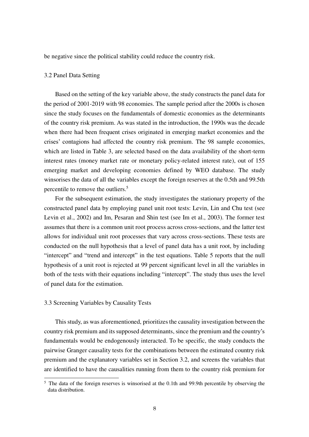be negative since the political stability could reduce the country risk.

#### 3.2 Panel Data Setting

Based on the setting of the key variable above, the study constructs the panel data for the period of 2001-2019 with 98 economies. The sample period after the 2000s is chosen since the study focuses on the fundamentals of domestic economies as the determinants of the country risk premium. As was stated in the introduction, the 1990s was the decade when there had been frequent crises originated in emerging market economies and the crises' contagions had affected the country risk premium. The 98 sample economies, which are listed in Table 3, are selected based on the data availability of the short-term interest rates (money market rate or monetary policy-related interest rate), out of 155 emerging market and developing economies defined by WEO database. The study winsorises the data of all the variables except the foreign reserves at the 0.5th and 99.5th percentile to remove the outliers.<sup>5</sup>

For the subsequent estimation, the study investigates the stationary property of the constructed panel data by employing panel unit root tests: Levin, Lin and Chu test (see Levin et al., 2002) and Im, Pesaran and Shin test (see Im et al., 2003). The former test assumes that there is a common unit root process across cross-sections, and the latter test allows for individual unit root processes that vary across cross-sections. These tests are conducted on the null hypothesis that a level of panel data has a unit root, by including "intercept" and "trend and intercept" in the test equations. Table 5 reports that the null hypothesis of a unit root is rejected at 99 percent significant level in all the variables in both of the tests with their equations including "intercept". The study thus uses the level of panel data for the estimation.

### 3.3 Screening Variables by Causality Tests

This study, as was aforementioned, prioritizes the causality investigation between the country risk premium and its supposed determinants, since the premium and the country's fundamentals would be endogenously interacted. To be specific, the study conducts the pairwise Granger causality tests for the combinations between the estimated country risk premium and the explanatory variables set in Section 3.2, and screens the variables that are identified to have the causalities running from them to the country risk premium for

<sup>&</sup>lt;sup>5</sup> The data of the foreign reserves is winsorised at the 0.1th and 99.9th percentile by observing the data distribution.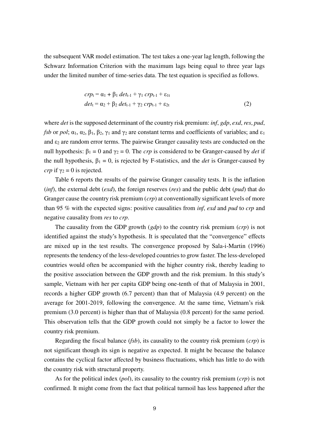the subsequent VAR model estimation. The test takes a one-year lag length, following the Schwarz Information Criterion with the maximum lags being equal to three year lags under the limited number of time-series data. The test equation is specified as follows.

$$
crp_{t} = \alpha_{1} + \beta_{1} \det_{t-1} + \gamma_{1} \trct{crp_{t-1}} + \varepsilon_{1t}
$$
  
\n
$$
\det_{t} = \alpha_{2} + \beta_{2} \det_{t-1} + \gamma_{2} \trct{crp_{t-1}} + \varepsilon_{2t}
$$
 (2)

where *det* is the supposed determinant of the country risk premium: *inf*, *gdp*, *exd*, *res*, *pud*, *fsb* or *pol*;  $\alpha_1$ ,  $\alpha_2$ ,  $\beta_1$ ,  $\beta_2$ ,  $\gamma_1$  and  $\gamma_2$  are constant terms and coefficients of variables; and  $\epsilon_1$ and  $\varepsilon_2$  are random error terms. The pairwise Granger causality tests are conducted on the null hypothesis:  $β_1 = 0$  and  $γ_2 = 0$ . The *crp* is considered to be Granger-caused by *det* if the null hypothesis,  $\beta_1 = 0$ , is rejected by F-statistics, and the *det* is Granger-caused by *crp* if  $\gamma_2 = 0$  is rejected.

Table 6 reports the results of the pairwise Granger causality tests. It is the inflation (*inf*), the external debt (*exd*), the foreign reserves (*res*) and the public debt (*pud*) that do Granger cause the country risk premium (*crp*) at conventionally significant levels of more than 95 % with the expected signs: positive causalities from *inf*, *exd* and *pud* to *crp* and negative causality from *res* to *crp*.

The causality from the GDP growth (*gdp*) to the country risk premium (*crp*) is not identified against the study's hypothesis. It is speculated that the "convergence" effects are mixed up in the test results. The convergence proposed by Sala-i-Martin (1996) represents the tendency of the less-developed countries to grow faster. The less-developed countries would often be accompanied with the higher country risk, thereby leading to the positive association between the GDP growth and the risk premium. In this study's sample, Vietnam with her per capita GDP being one-tenth of that of Malaysia in 2001, records a higher GDP growth (6.7 percent) than that of Malaysia (4.9 percent) on the average for 2001-2019, following the convergence. At the same time, Vietnam's risk premium (3.0 percent) is higher than that of Malaysia (0.8 percent) for the same period. This observation tells that the GDP growth could not simply be a factor to lower the country risk premium.

Regarding the fiscal balance (*fsb*), its causality to the country risk premium (*crp*) is not significant though its sign is negative as expected. It might be because the balance contains the cyclical factor affected by business fluctuations, which has little to do with the country risk with structural property.

As for the political index (*pol*), its causality to the country risk premium (*crp*) is not confirmed. It might come from the fact that political turmoil has less happened after the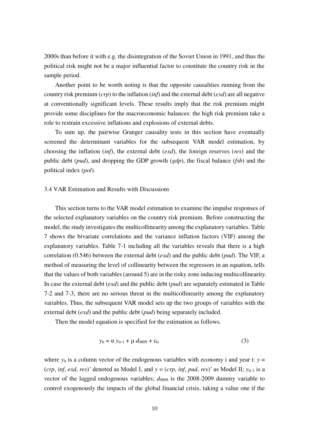2000s than before it with e.g. the disintegration of the Soviet Union in 1991, and thus the political risk might not be a major influential factor to constitute the country risk in the sample period.

Another point to be worth noting is that the opposite causalities running from the country risk premium (*crp*) to the inflation (*inf*) and the external debt (*exd*) are all negative at conventionally significant levels. These results imply that the risk premium might provide some disciplines for the macroeconomic balances: the high risk premium take a role to restrain excessive inflations and explosions of external debts.

To sum up, the pairwise Granger causality tests in this section have eventually screened the determinant variables for the subsequent VAR model estimation, by choosing the inflation (*inf*), the external debt (*exd*), the foreign reserves (*res*) and the public debt (*pud*), and dropping the GDP growth (*gdp*), the fiscal balance (*fsb*) and the political index (*pol*).

### 3.4 VAR Estimation and Results with Discussions

This section turns to the VAR model estimation to examine the impulse responses of the selected explanatory variables on the country risk premium. Before constructing the model, the study investigates the multicollinearity among the explanatory variables. Table 7 shows the bivariate correlations and the variance inflation factors (VIF) among the explanatory variables. Table 7-1 including all the variables reveals that there is a high correlation (0.546) between the external debt (*exd*) and the public debt (*pud*). The VIF, a method of measuring the level of collinearity between the regressors in an equation, tells that the values of both variables (around 5) are in the risky zone inducing multicollinearity. In case the external debt (*exd*) and the public debt (*pud*) are separately estimated in Table 7-2 and 7-3, there are no serious threat in the multicollinearity among the explanatory variables. Thus, the subsequent VAR model sets up the two groups of variables with the external debt (*exd*) and the public debt (*pud*) being separately included.

Then the model equation is specified for the estimation as follows.

$$
y_{it} = \alpha y_{it-1} + \mu d_{0809} + \varepsilon_{it}
$$
 (3)

where  $y_{it}$  is a column vector of the endogenous variables with economy i and year t:  $y =$ (*crp*, *inf*, *exd*, *res*)' denoted as Model I, and  $y = (crp, inf, pud, res)$ ' as Model II;  $y_{it-1}$  is a vector of the lagged endogenous variables;  $d_{0809}$  is the 2008-2009 dummy variable to control exogenously the impacts of the global financial crisis, taking a value one if the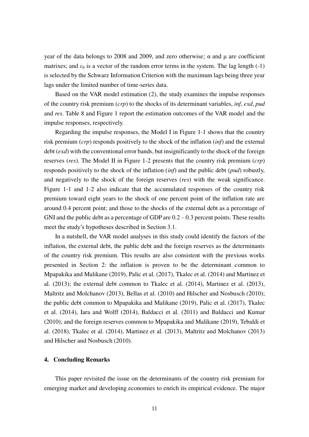year of the data belongs to 2008 and 2009, and zero otherwise; α and μ are coefficient matrixes; and  $\varepsilon_{it}$  is a vector of the random error terms in the system. The lag length  $(-1)$ is selected by the Schwarz Information Criterion with the maximum lags being three year lags under the limited number of time-series data.

Based on the VAR model estimation (2), the study examines the impulse responses of the country risk premium (*crp*) to the shocks of its determinant variables, *inf*, *exd*, *pud* and *res*. Table 8 and Figure 1 report the estimation outcomes of the VAR model and the impulse responses, respectively.

Regarding the impulse responses, the Model I in Figure 1-1 shows that the country risk premium (*crp*) responds positively to the shock of the inflation (*inf*) and the external debt (*exd*) with the conventional error bands, but insignificantly to the shock of the foreign reserves (*res*). The Model II in Figure 1-2 presents that the country risk premium (*crp*) responds positively to the shock of the inflation (*inf*) and the public debt (*pud*) robustly, and negatively to the shock of the foreign reserves (*res*) with the weak significance. Figure 1-1 and 1-2 also indicate that the accumulated responses of the country risk premium toward eight years to the shock of one percent point of the inflation rate are around 0.4 percent point; and those to the shocks of the external debt as a percentage of GNI and the public debt as a percentage of GDP are  $0.2 - 0.3$  percent points. These results meet the study's hypotheses described in Section 3.1.

In a nutshell, the VAR model analyses in this study could identify the factors of the inflation, the external debt, the public debt and the foreign reserves as the determinants of the country risk premium. This results are also consistent with the previous works presented in Section 2: the inflation is proven to be the determinant common to Mpapakika and Malikane (2019), Palic et al. (2017), Tkalec et al. (2014) and Martinez et al. (2013); the external debt common to Tkalec et al. (2014), Martinez et al. (2013), Maltritz and Molchanov (2013), Bellas et al. (2010) and Hilscher and Nosbusch (2010); the public debt common to Mpapakika and Malikane (2019), Palic et al. (2017), Tkalec et al. (2014), Iara and Wolff (2014), Baldacci et al. (2011) and Baldacci and Kumar (2010); and the foreign reserves common to Mpapakika and Malikane (2019), Tebaldi et al. (2018), Tkalec et al. (2014), Martinez et al. (2013), Maltritz and Molchanov (2013) and Hilscher and Nosbusch (2010).

### **4. Concluding Remarks**

This paper revisited the issue on the determinants of the country risk premium for emerging market and developing economies to enrich its empirical evidence. The major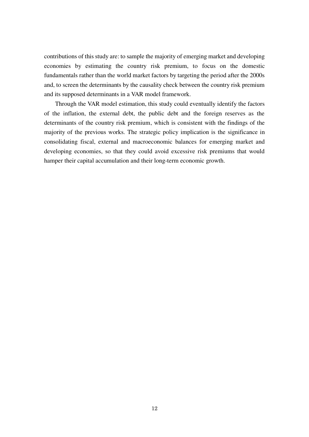contributions of this study are: to sample the majority of emerging market and developing economies by estimating the country risk premium, to focus on the domestic fundamentals rather than the world market factors by targeting the period after the 2000s and, to screen the determinants by the causality check between the country risk premium and its supposed determinants in a VAR model framework.

Through the VAR model estimation, this study could eventually identify the factors of the inflation, the external debt, the public debt and the foreign reserves as the determinants of the country risk premium, which is consistent with the findings of the majority of the previous works. The strategic policy implication is the significance in consolidating fiscal, external and macroeconomic balances for emerging market and developing economies, so that they could avoid excessive risk premiums that would hamper their capital accumulation and their long-term economic growth.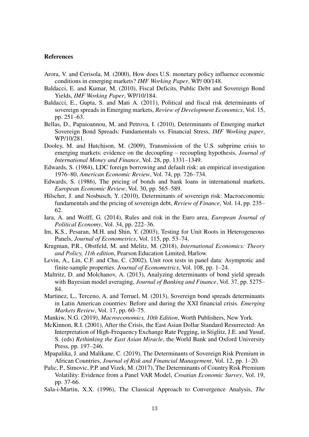#### **References**

- Arora, V. and Cerisola, M. (2000), How does U.S. monetary policy influence economic conditions in emerging markets? *IMF Working Paper*, WP/ 00/148.
- Baldacci, E. and Kumar, M. (2010), Fiscal Deficits, Public Debt and Sovereign Bond Yields, *IMF Working Paper*, WP/10/184.
- Baldacci, E., Gupta, S. and Mati A. (2011), Political and fiscal risk determinants of sovereign spreads in Emerging markets, *Review of Development Economics*, Vol. 15, pp. 251–63.
- Bellas, D., Papaioannou, M. and Petrova, I. (2010), Determinants of Emerging market Sovereign Bond Spreads: Fundamentals vs. Financial Stress, *IMF Working paper*, WP/10/281.
- Dooley, M. and Hutchison, M. (2009), Transmission of the U.S. subprime crisis to emerging markets: evidence on the decoupling – recoupling hypothesis, *Journal of International Money and Finance*, Vol. 28, pp. 1331–1349.
- Edwards, S. (1984), LDC foreign borrowing and default risk: an empirical investigation 1976–80, *American Economic Review*, Vol. 74, pp. 726–734.
- Edwards, S. (1986), The pricing of bonds and bank loans in international markets, *European Economic Review*, Vol. 30, pp. 565–589.
- Hilscher, J. and Nosbusch, Y. (2010), Determinants of sovereign risk: Macroeconomic fundamentals and the pricing of sovereign debt, *Review of Finance*, Vol. 14, pp. 235– 62.
- Iara, A. and Wolff, G. (2014), Rules and risk in the Euro area, *European Journal of Political Economy*, Vol. 34, pp. 222–36.
- Im, K.S., Pesaran, M.H. and Shin, Y. (2003), Testing for Unit Roots in Heterogeneous Panels, *Journal of Econometrics*, Vol. 115, pp. 53–74.
- Krugman, P.R., Obstfeld, M. and Melitz, M. (2018), *International Economics: Theory and Policy, 11th edition*, Pearson Education Limited, Harlow.
- Levin, A., Lin, C.F. and Chu, C. (2002), Unit root tests in panel data: Asymptotic and finite-sample properties. *Journal of Econometrics*, Vol. 108, pp. 1–24.
- Maltritz, D. and Molchanov, A. (2013), Analyzing determinants of bond yield spreads with Bayesian model averaging, *Journal of Banking and Finance*, Vol. 37, pp. 5275– 84.
- Martinez, L., Terceno, A. and Terruel, M. (2013), Sovereign bond spreads determinants in Latin American countries: Before and during the XXI financial crisis. *Emerging Markets Review*, Vol. 17, pp. 60–75.
- Mankiw, N.G. (2019), *Macroeconomics, 10th Edition*, Worth Publishers, New York.
- McKinnon, R.I. (2001), After the Crisis, the East Asian Dollar Standard Resurrected: An Interpretation of High-Frequency Exchange Rate Pegging, in Stiglitz, J.E. and Yusuf, S. (eds) *Rethinking the East Asian Miracle*, the World Bank and Oxford University Press, pp. 197–246.
- Mpapalika, J. and Malikane, C. (2019), The Determinants of Sovereign Risk Premium in African Countries, *Journal of Risk and Financial Management*, Vol. 12, pp. 1–20.
- Palic, P., Simovic, P.P. and Vizek, M. (2017), The Determinants of Country Risk Premium Volatility: Evidence from a Panel VAR Model, *Croatian Economic Survey*, Vol. 19, pp. 37-66.
- Sala-i-Martin, X.X. (1996), The Classical Approach to Convergence Analysis, *The*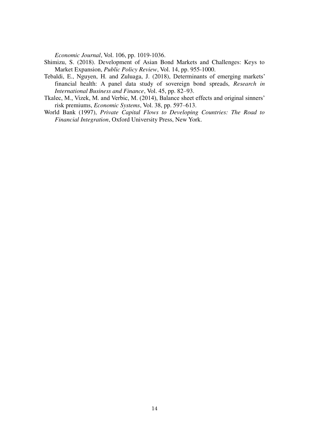*Economic Journal*, Vol. 106, pp. 1019-1036.

- Shimizu, S. (2018). Development of Asian Bond Markets and Challenges: Keys to Market Expansion, *Public Policy Review*, Vol. 14, pp. 955-1000.
- Tebaldi, E., Nguyen, H. and Zuluaga, J. (2018), Determinants of emerging markets' financial health: A panel data study of sovereign bond spreads, *Research in International Business and Finance*, Vol. 45, pp. 82–93.
- Tkalec, M., Vizek, M. and Verbic, M. (2014), Balance sheet effects and original sinners' risk premiums, *Economic Systems*, Vol. 38, pp. 597–613.
- World Bank (1997), *Private Capital Flows to Developing Countries: The Road to Financial Integration*, Oxford University Press, New York.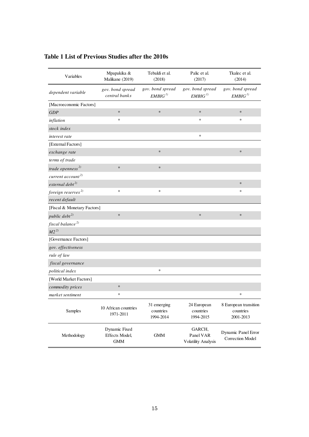| Variables                      | Mpapakika &<br>Malikane (2019)                | Tebaldi et al.<br>(2018)               | Palic et al.<br>(2017)                     | Tkalec et al.<br>(2014)                         |
|--------------------------------|-----------------------------------------------|----------------------------------------|--------------------------------------------|-------------------------------------------------|
| dependent variable             | gov. bond spread<br>central banks             | gov. bond spread<br>EMBIG <sup>1</sup> | gov. bond spread<br>EMBIG <sup>1</sup>     | gov. bond spread<br>EMBIG <sup>1</sup>          |
| [Macroeconomic Factors]        |                                               |                                        |                                            |                                                 |
| GDP                            | $\ast$                                        | $\ast$                                 | $\ast$                                     | $\ast$                                          |
| inflation                      | $\ast$                                        |                                        | *                                          | *                                               |
| stock index                    |                                               |                                        |                                            |                                                 |
| interest rate                  |                                               |                                        | $\ast$                                     |                                                 |
| [External Factors]             |                                               |                                        |                                            |                                                 |
| exchange rate                  |                                               | $\ast$                                 |                                            | $\ast$                                          |
| terms of trade                 |                                               |                                        |                                            |                                                 |
| trade openness <sup>2)</sup>   | $\ast$                                        | $\ast$                                 |                                            |                                                 |
| current $account^{2)}$         |                                               |                                        |                                            |                                                 |
| $external\ debt^{2)}$          |                                               |                                        |                                            | $\ast$                                          |
| foreign reserves <sup>2)</sup> | $\ast$                                        | $\ast$                                 |                                            | $\ast$                                          |
| recent default                 |                                               |                                        |                                            |                                                 |
| [Fiscal & Monetary Factors]    |                                               |                                        |                                            |                                                 |
| public debt <sup>2)</sup>      | $\ast$                                        |                                        | $\ast$                                     | $\ast$                                          |
| fiscal balance <sup>2)</sup>   |                                               |                                        |                                            |                                                 |
| $M2^{2}$                       |                                               |                                        |                                            |                                                 |
| [Governance Factors]           |                                               |                                        |                                            |                                                 |
| gov. effectiveness             |                                               |                                        |                                            |                                                 |
| rule of law                    |                                               |                                        |                                            |                                                 |
| fiscal governance              |                                               |                                        |                                            |                                                 |
| <i>political index</i>         |                                               | $\ast$                                 |                                            |                                                 |
| [World Market Factors]         |                                               |                                        |                                            |                                                 |
| commodity prices               | $\ast$                                        |                                        |                                            |                                                 |
| market sentiment               | $\ast$                                        |                                        |                                            | *                                               |
| Samples                        | 10 African countries<br>1971-2011             | 31 emerging<br>countries<br>1994-2014  | 24 European<br>countries<br>1994-2015      | 8 European transition<br>countries<br>2001-2013 |
| Methodology                    | Dynamic Fixed<br>Effects Model,<br><b>GMM</b> | <b>GMM</b>                             | GARCH,<br>Panel VAR<br>Volatility Analysis | Dynamic Panel Error<br><b>Correction Model</b>  |

# **Table 1 List of Previous Studies after the 2010s**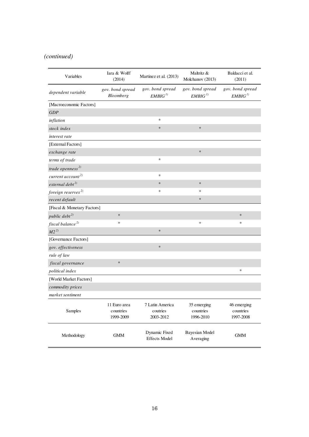# *(continued)*

| Variables                      | Iara & Wolff<br>(2014)                 | Martinez et al. (2013)                   | Maltritz &<br>Molchanov (2013)         | Baldacci et al.<br>(2011)              |
|--------------------------------|----------------------------------------|------------------------------------------|----------------------------------------|----------------------------------------|
| dependent variable             | gov. bond spread<br>Bloomberg          | gov. bond spread<br>EMBIG <sup>1</sup>   | gov. bond spread<br>EMBIG <sup>1</sup> | gov. bond spread<br>EMBIG <sup>1</sup> |
| [Macroeconomic Factors]        |                                        |                                          |                                        |                                        |
| GDP                            |                                        |                                          |                                        |                                        |
| inflation                      |                                        | $\ast$                                   |                                        |                                        |
| stock index                    |                                        | $\ast$                                   | $\ast$                                 |                                        |
| interest rate                  |                                        |                                          |                                        |                                        |
| [External Factors]             |                                        |                                          |                                        |                                        |
| exchange rate                  |                                        |                                          | $\ast$                                 |                                        |
| terms of trade                 |                                        | $\ast$                                   |                                        |                                        |
| trade openness <sup>2)</sup>   |                                        |                                          |                                        |                                        |
| current $account^{2)}$         |                                        | $\approx$                                |                                        |                                        |
| $external\ debt^{2)}$          |                                        | $\ast$                                   | $\ast$                                 |                                        |
| foreign reserves <sup>2)</sup> |                                        | *                                        | $\ast$                                 |                                        |
| recent default                 |                                        |                                          | $\ast$                                 |                                        |
| [Fiscal & Monetary Factors]    |                                        |                                          |                                        |                                        |
| public debt $^{2)}$            | $\ast$                                 |                                          |                                        | $\ast$                                 |
| fiscal balance <sup>2)</sup>   | $\ast$                                 |                                          | $\ast$                                 | $\ast$                                 |
| $M2^{2)}$                      |                                        | $\ast$                                   |                                        |                                        |
| [Governance Factors]           |                                        |                                          |                                        |                                        |
| gov. effectiveness             |                                        | $\ast$                                   |                                        |                                        |
| rule of law                    |                                        |                                          |                                        |                                        |
| fiscal governance              | $\ast$                                 |                                          |                                        |                                        |
| political index                |                                        |                                          |                                        | ∗                                      |
| [World Market Factors]         |                                        |                                          |                                        |                                        |
| commodity prices               |                                        |                                          |                                        |                                        |
| market sentiment               |                                        |                                          |                                        |                                        |
| <b>Samples</b>                 | 11 Euro area<br>countries<br>1999-2009 | 7 Latin America<br>coutries<br>2003-2012 | 35 emerging<br>countries<br>1996-2010  | 46 emerging<br>countries<br>1997-2008  |
| Methodology                    | $\mbox{GMM}$                           | Dynamic Fixed<br><b>Effects Model</b>    | <b>Bayesian Model</b><br>Averaging     | $\mbox{GMM}$                           |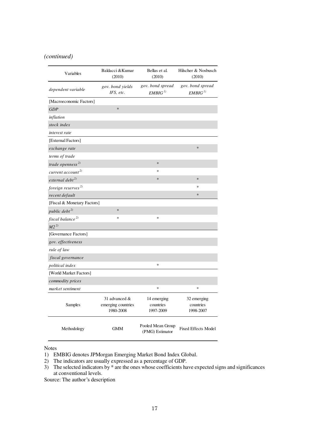# *(continued)*

| Variables                      | Baldacci & Kumar<br>(2010)                          | Bellas et al.<br>(2010)                | Hilscher & Nosbusch<br>(2010)          |
|--------------------------------|-----------------------------------------------------|----------------------------------------|----------------------------------------|
| dependent variable             | gov. bond yields<br>IFS, etc.                       | gov. bond spread<br>EMBIG <sup>1</sup> | gov. bond spread<br>EMBIG <sup>1</sup> |
| [Macroeconomic Factors]        |                                                     |                                        |                                        |
| GDP                            | $\ast$                                              |                                        |                                        |
| inflation                      |                                                     |                                        |                                        |
| stock index                    |                                                     |                                        |                                        |
| interest rate                  |                                                     |                                        |                                        |
| [External Factors]             |                                                     |                                        |                                        |
| exchange rate                  |                                                     |                                        | $\ast$                                 |
| terms of trade                 |                                                     |                                        |                                        |
| trade openness $^{2)}$         |                                                     | $\ast$                                 |                                        |
| current $account^{2)}$         |                                                     | $\mathbf{x}$                           |                                        |
| $external\ debt^{2)}$          |                                                     | $\ast$                                 | $\ast$                                 |
| foreign reserves <sup>2)</sup> |                                                     |                                        | $\ast$                                 |
| recent default                 |                                                     |                                        | $\ast$                                 |
| [Fiscal & Monetary Factors]    |                                                     |                                        |                                        |
| public $debt^{2)}$             | $\ast$                                              |                                        |                                        |
| fiscal balance <sup>2)</sup>   | $\ast$                                              | $\ast$                                 |                                        |
| $M2^{2)}$                      |                                                     |                                        |                                        |
| [Governance Factors]           |                                                     |                                        |                                        |
| gov. effectiveness             |                                                     |                                        |                                        |
| rule of law                    |                                                     |                                        |                                        |
| fiscal governance              |                                                     |                                        |                                        |
| political index                |                                                     | *                                      |                                        |
| [World Market Factors]         |                                                     |                                        |                                        |
| commodity prices               |                                                     |                                        |                                        |
| market sentiment               |                                                     | $\ast$                                 | $\ast$                                 |
| Samples                        | 31 advanced $\&$<br>emerging countries<br>1980-2008 | 14 emerging<br>countries<br>1997-2009  | 32 emerging<br>countries<br>1998-2007  |
| Methodology                    | <b>GMM</b>                                          | Pooled Mean Group<br>(PMG) Estimator   | <b>Fixed Effects Model</b>             |

Notes

Source: The author's description

<sup>1)</sup> EMBIG denotes JPMorgan Emerging Market Bond Index Global.

<sup>2)</sup> The indicators are usually expressed as a percentage of GDP.

<sup>3)</sup> The selected indicators by \* are the ones whose coefficients have expected signs and significances at conventional levels.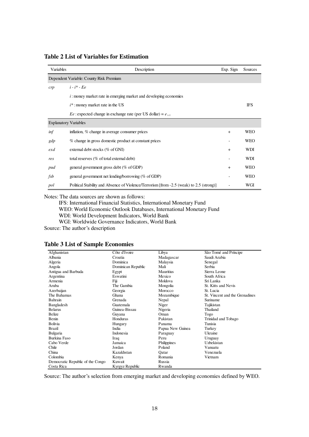| Variables                    | Description                                                                              | Exp. Sign | Sources    |  |  |  |
|------------------------------|------------------------------------------------------------------------------------------|-----------|------------|--|--|--|
|                              | Dependent Variable: County Risk Premium                                                  |           |            |  |  |  |
| crp                          | $i - i^*$ - Ee                                                                           |           |            |  |  |  |
|                              | $i$ : money market rate in emerging market and developing economies                      |           |            |  |  |  |
|                              | $i^*$ : money market rate in the US                                                      |           | <b>IFS</b> |  |  |  |
|                              | <i>Ee</i> : expected change in exchange rate (per US dollar) = $e_{t-1}$                 |           |            |  |  |  |
| <b>Explanatory Variables</b> |                                                                                          |           |            |  |  |  |
| inf                          | inflation, % change in average consumer prices                                           | $+$       | <b>WEO</b> |  |  |  |
| gdp                          | % change in gross domestic product at constant prices                                    |           | <b>WEO</b> |  |  |  |
| exd                          | external debt stocks ( $\%$ of GNI)                                                      | $\ddot{}$ | <b>WDI</b> |  |  |  |
| res                          | total reserves (% of total external debt)                                                |           | <b>WDI</b> |  |  |  |
| pud                          | general government gross debt ( $\%$ of GDP)                                             | $\ddot{}$ | <b>WEO</b> |  |  |  |
| fsb                          | general government net lending/borrowing (% of GDP)                                      |           | <b>WEO</b> |  |  |  |
| pol                          | Political Stability and Absence of Violence/Terrorism [from -2.5 (weak) to 2.5 (strong)] |           | WGI        |  |  |  |

**Table 2 List of Variables for Estimation** 

Notes: The data sources are shown as follows:

IFS: International Financial Statistics, International Monetary Fund WEO: World Economic Outlook Databases, International Monetary Fund WDI: World Development Indicators, World Bank WGI: Worldwide Governance Indicators, World Bank

Source: The author's description

|  |  | <b>Table 3 List of Sample Economies</b> |
|--|--|-----------------------------------------|
|--|--|-----------------------------------------|

| Afghanistan                      | Côte d'Ivoire      | Libya            | São Tomé and Príncipe          |
|----------------------------------|--------------------|------------------|--------------------------------|
| Albania                          | Croatia            | Madagascar       | Saudi Arabia                   |
| Algeria                          | Dominica           | Malaysia         | Senegal                        |
| Angola                           | Dominican Republic | Mali             | Serbia                         |
| Antigua and Barbuda              | Egypt              | Mauritius        | Sierra Leone                   |
| Argentina                        | Eswatini           | Mexico           | South Africa                   |
| Armenia                          | Fiji               | Moldova          | Sri Lanka                      |
| Aruba                            | The Gambia         | Mongolia         | St. Kitts and Nevis            |
| Azerbaijan                       | Georgia            | Morocco          | St. Lucia                      |
| The Bahamas                      | Ghana              | Mozambique       | St. Vincent and the Grenadines |
| Bahrain                          | Grenada            | Nepal            | Suriname                       |
| Bangladesh                       | Guatemala          | Niger            | Tajikistan                     |
| <b>Belarus</b>                   | Guinea-Bissau      | Nigeria          | Thailand                       |
| Belize                           | Guyana             | Oman             | Togo                           |
| Benin                            | Honduras           | Pakistan         | Trinidad and Tobago            |
| Bolivia                          | Hungary            | Panama           | Tunisia                        |
| Brazil                           | India              | Papua New Guinea | Turkey                         |
| Bulgaria                         | Indonesia          | Paraguay         | Ukraine                        |
| Burkina Faso                     | Iraq               | Peru             | Uruguay                        |
| Cabo Verde                       | Jamaica            | Philippines      | Uzbekistan                     |
| Chile                            | Jordan             | Poland           | Vanuatu                        |
| China                            | Kazakhstan         | Oatar            | Venezuela                      |
| Colombia                         | Kenya              | Romania          | Vietnam                        |
| Democratic Republic of the Congo | Kuwait             | Russia           |                                |
| Costa Rica                       | Kyrgyz Republic    | Rwanda           |                                |

Source: The author's selection from emerging market and developing economies defined by WEO.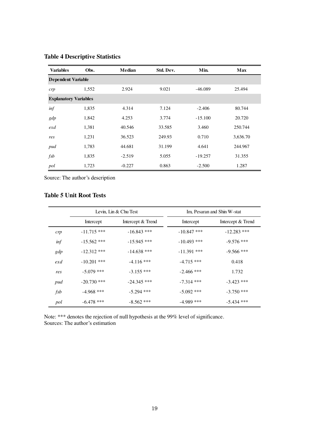| <b>Variables</b>             | Obs.  | Median   | Std. Dev. | Min.      | Max      |
|------------------------------|-------|----------|-----------|-----------|----------|
| <b>Dependent Variable</b>    |       |          |           |           |          |
| crp                          | 1,552 | 2.924    | 9.021     | $-46.089$ | 25.494   |
| <b>Explanatory Variables</b> |       |          |           |           |          |
| inf                          | 1,835 | 4.314    | 7.124     | $-2.406$  | 80.744   |
| gdp                          | 1,842 | 4.253    | 3.774     | $-15.100$ | 20.720   |
| exd                          | 1,381 | 40.546   | 33.585    | 3.460     | 250.744  |
| res                          | 1,231 | 36.523   | 249.93    | 0.710     | 3,636.70 |
| pud                          | 1,783 | 44.681   | 31.199    | 4.641     | 244.967  |
| f <sub>sb</sub>              | 1,835 | $-2.519$ | 5.055     | $-19.257$ | 31.355   |
| pol                          | 1,723 | $-0.227$ | 0.863     | $-2.500$  | 1.287    |

# **Table 4 Descriptive Statistics**

Source: The author's description

### **Table 5 Unit Root Tests**

|                 | Levin, Lin & Chu Test |                   |               | Im, Pesaran and Shin W-stat |
|-----------------|-----------------------|-------------------|---------------|-----------------------------|
|                 | Intercept             | Intercept & Trend | Intercept     | Intercept & Trend           |
| crp             | $-11.715$ ***         | $-16.843$ ***     | $-10.847$ *** | $-12.283$ ***               |
| inf             | $-15.562$ ***         | $-15.945$ ***     | $-10.493$ *** | $-9.576$ ***                |
| gdp             | $-12.312$ ***         | $-14.638$ ***     | $-11.391$ *** | $-9.566$ ***                |
| $ext{exd}$      | $-10.201$ ***         | $-4.116$ ***      | $-4.715$ ***  | 0.418                       |
| res             | $-5.079$ ***          | $-3.155$ ***      | $-2.466$ ***  | 1.732                       |
| pud             | $-20.730$ ***         | $-24.345$ ***     | $-7.314$ ***  | $-3.423$ ***                |
| f <sub>sb</sub> | $-4.968$ ***          | $-5.294$ ***      | $-5.092$ ***  | $-3.750$ ***                |
| pol             | $-6.478$ ***          | $-8.562$ ***      | $-4.989$ ***  | $-5.434$ ***                |

Note: \*\*\* denotes the rejection of null hypothesis at the 99% level of significance. Sources: The author's estimation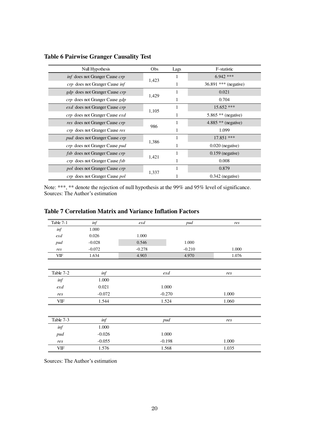| Null Hypothesis                              | Obs   | Lags | F-statistic             |
|----------------------------------------------|-------|------|-------------------------|
| inf does not Granger Cause crp               |       | 1    | $6.942$ ***             |
| crp does not Granger Cause inf               | 1,423 |      | $36.891$ *** (negative) |
| <i>gdp</i> does not Granger Cause <i>crp</i> |       | 1    | 0.021                   |
| <i>crp</i> does not Granger Cause gdp        | 1,429 |      | 0.704                   |
| <i>exd</i> does not Granger Cause <i>crp</i> |       |      | $15.652$ ***            |
| <i>crp</i> does not Granger Cause <i>exd</i> | 1,105 |      | 5.865 $**$ (negative)   |
| res does not Granger Cause crp               | 986   |      | 4.885 ** (negative)     |
| crp does not Granger Cause res               |       |      | 1.099                   |
| <i>pud</i> does not Granger Cause <i>crp</i> | 1,386 |      | $17.851$ ***            |
| crp does not Granger Cause pud               |       |      | $0.020$ (negative)      |
| fsb does not Granger Cause crp               |       | 1    | $0.159$ (negative)      |
| <i>crp</i> does not Granger Cause <i>fsb</i> | 1,421 |      | 0.008                   |
| <i>pol</i> does not Granger Cause <i>crp</i> |       | 1    | 0.879                   |
| crp does not Granger Cause pol               | 1,337 |      | $0.342$ (negative)      |

# **Table 6 Pairwise Granger Causality Test**

Note: \*\*\*, \*\* denote the rejection of null hypothesis at the 99% and 95% level of significance. Sources: The Author's estimation

| Table 7-1  | inf      | exd      | pud      | res   |
|------------|----------|----------|----------|-------|
| inf        | 1.000    |          |          |       |
| $ext{exd}$ | 0.026    | 1.000    |          |       |
| pud        | $-0.028$ | 0.546    | 1.000    |       |
| res        | $-0.072$ | $-0.278$ | $-0.210$ | 1.000 |
| VIF        | 1.634    | 4.903    | 4.970    | 1.076 |
|            |          |          |          |       |
| Table 7-2  | inf      |          | exd      | res   |
| inf        | 1.000    |          |          |       |
| exd        | 0.021    |          | 1.000    |       |
| res        | $-0.072$ |          | $-0.270$ | 1.000 |
| VIF        | 1.544    | 1.524    |          | 1.060 |
|            |          |          |          |       |
| Table 7-3  | inf      |          | pud      | res   |
| inf        | 1.000    |          |          |       |
| pud        | $-0.026$ |          | 1.000    |       |
| res        | $-0.055$ |          | $-0.198$ | 1.000 |
| VIF        | 1.576    |          | 1.568    | 1.035 |

# **Table 7 Correlation Matrix and Variance Inflation Factors**

Sources: The Author's estimation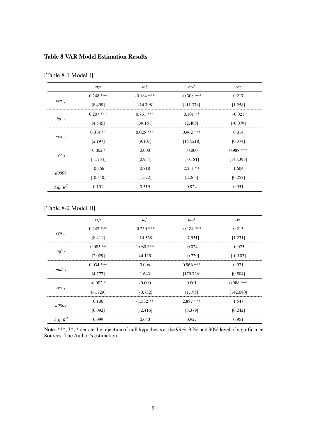### **Table 8 VAR Model Estimation Results**

|                 | crp         | inf          | $ext{exd}$   | res         |
|-----------------|-------------|--------------|--------------|-------------|
|                 | $0.248$ *** | $-0.184$ *** | $-0.308$ *** | 0.217       |
| $crp_{-1}$      | [8.499]     | $[-14.798]$  | $[-11.378]$  | [1.258]     |
|                 | $0.207$ *** | $0.761$ ***  | $0.101$ **   | $-0.021$    |
| $inf_{l}$       | [4.545]     | [39.151]     | [2.405]      | $[-0.079]$  |
|                 | $0.014$ **  | $0.025$ ***  | $0.962$ ***  | 0.014       |
| $ext{exd}_{-1}$ | [2.197]     | [9.101]      | [157.218]    | [0.374]     |
|                 | $-0.002*$   | 0.000        | $-0.000$     | $0.988$ *** |
| $res_{-1}$      | $[-1.754]$  | [0.954]      | $[-0.181]$   | [143.395]   |
|                 | $-0.366$    | 0.718        | $2.251$ **   | 1.604       |
| d0809           | $[-0.340]$  | [1.572]      | [2.263]      | [0.252]     |
| Adj. $R^2$      | 0.101       | 0.519        | 0.924        | 0.951       |

# [Table 8-1 Model I]

# [Table 8-2 Model II]

|            | crp         | inf          | pud          | res         |
|------------|-------------|--------------|--------------|-------------|
|            | $0.247$ *** | $-0.250$ *** | $-0.184$ *** | 0.213       |
| $crp_{-1}$ | [8.411]     | $[-14.568]$  | $[-7.951]$   | [1.231]     |
|            | $0.085**$   | $1.080$ ***  | $-0.024$     | $-0.025$    |
| $inf_{-1}$ | [2.029]     | [44.119]     | $[-0.729]$   | $[-0.102]$  |
|            | $0.034$ *** | 0.006        | $0.966$ ***  | 0.021       |
| $pud_{-1}$ | [4.777]     | [1.643]      | [170.736]    | [0.504]     |
|            | $-0.002*$   | $-0.000$     | 0.001        | $0.988$ *** |
| $res_{-1}$ | $[-1.729]$  | $[-0.732]$   | [1.195]      | [142.080]   |
|            | 0.100       | $-1.532**$   | $2.887$ ***  | 1.547       |
| d0809      | [0.092]     | $[-2.416]$   | [3.379]      | [0.242]     |
| Adj. $R^2$ | 0.099       | 0.640        | 0.927        | 0.951       |

Note: \*\*\*, \*\*, \* denote the rejection of null hypothesis at the 99%, 95% and 90% level of significance. Sources: The Author's estimation